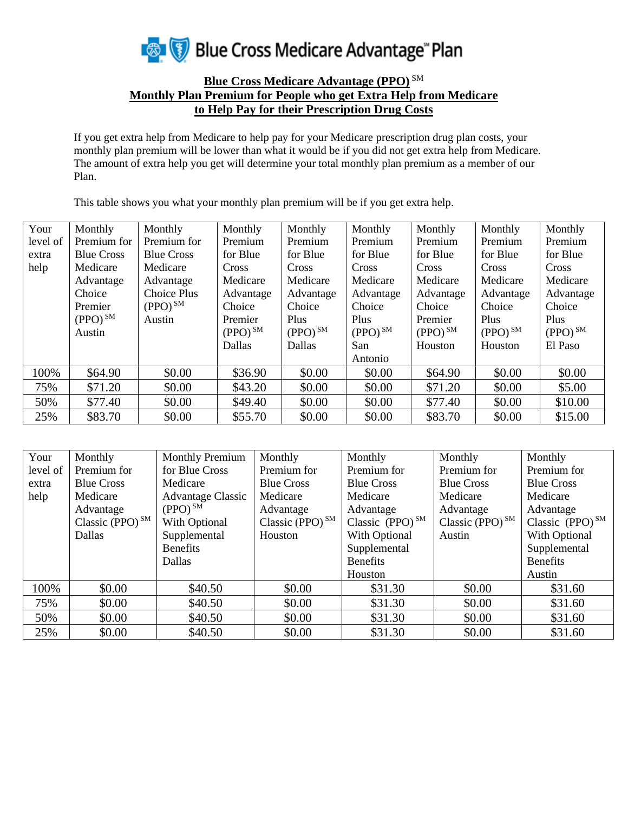

## **Blue Cross Medicare Advantage (PPO)** SM **Monthly Plan Premium for People who get Extra Help from Medicare to Help Pay for their Prescription Drug Costs**

If you get extra help from Medicare to help pay for your Medicare prescription drug plan costs, your monthly plan premium will be lower than what it would be if you did not get extra help from Medicare. The amount of extra help you get will determine your total monthly plan premium as a member of our Plan.

This table shows you what your monthly plan premium will be if you get extra help.

| Your     | Monthly           | Monthly            | Monthly               | Monthly       | Monthly               | Monthly      | Monthly               | Monthly      |
|----------|-------------------|--------------------|-----------------------|---------------|-----------------------|--------------|-----------------------|--------------|
| level of | Premium for       | Premium for        | Premium               | Premium       | Premium               | Premium      | Premium               | Premium      |
| extra    | <b>Blue Cross</b> | <b>Blue Cross</b>  | for Blue              | for Blue      | for Blue              | for Blue     | for Blue              | for Blue     |
| help     | Medicare          | Medicare           | <b>Cross</b>          | <b>Cross</b>  | Cross                 | Cross        | Cross                 | Cross        |
|          | Advantage         | Advantage          | Medicare              | Medicare      | Medicare              | Medicare     | Medicare              | Medicare     |
|          | Choice            | <b>Choice Plus</b> | Advantage             | Advantage     | Advantage             | Advantage    | Advantage             | Advantage    |
|          | Premier           | $(PPO)^{SM}$       | Choice                | Choice        | Choice                | Choice       | Choice                | Choice       |
|          | $(PPO)^{SM}$      | Austin             | Premier               | Plus          | Plus                  | Premier      | Plus                  | Plus         |
|          | Austin            |                    | $(PPO)$ <sup>SM</sup> | $(PPO)^{SM}$  | $(PPO)$ <sup>SM</sup> | $(PPO)^{SM}$ | $(PPO)$ <sup>SM</sup> | $(PPO)^{SM}$ |
|          |                   |                    | <b>Dallas</b>         | <b>Dallas</b> | San                   | Houston      | Houston               | El Paso      |
|          |                   |                    |                       |               | Antonio               |              |                       |              |
| 100%     | \$64.90           | \$0.00             | \$36.90               | \$0.00        | \$0.00                | \$64.90      | \$0.00                | \$0.00       |
| 75%      | \$71.20           | \$0.00             | \$43.20               | \$0.00        | \$0.00                | \$71.20      | \$0.00                | \$5.00       |
| 50%      | \$77.40           | \$0.00             | \$49.40               | \$0.00        | \$0.00                | \$77.40      | \$0.00                | \$10.00      |
| 25%      | \$83.70           | \$0.00             | \$55.70               | \$0.00        | \$0.00                | \$83.70      | \$0.00                | \$15.00      |

| Your     | Monthly            | <b>Monthly Premium</b>   | Monthly            | Monthly                       | Monthly            | Monthly              |
|----------|--------------------|--------------------------|--------------------|-------------------------------|--------------------|----------------------|
| level of | Premium for        | for Blue Cross           | Premium for        | Premium for                   | Premium for        | Premium for          |
| extra    | <b>Blue Cross</b>  | Medicare                 | <b>Blue Cross</b>  | <b>Blue Cross</b>             | <b>Blue Cross</b>  | <b>Blue Cross</b>    |
| help     | Medicare           | <b>Advantage Classic</b> | Medicare           | Medicare                      | Medicare           | Medicare             |
|          | Advantage          | $(PPO)$ <sup>SM</sup>    | Advantage          | Advantage                     | Advantage          | Advantage            |
|          | Classic (PPO) $SM$ | With Optional            | Classic (PPO) $SM$ | Classic $(PPO)$ <sup>SM</sup> | Classic (PPO) $SM$ | Classic $(PPO)^{SM}$ |
|          | Dallas             | Supplemental             | Houston            | With Optional                 | Austin             | With Optional        |
|          |                    | <b>Benefits</b>          |                    | Supplemental                  |                    | Supplemental         |
|          |                    | Dallas                   |                    | <b>Benefits</b>               |                    | <b>Benefits</b>      |
|          |                    |                          |                    | Houston                       |                    | Austin               |
| 100%     | \$0.00             | \$40.50                  | \$0.00             | \$31.30                       | \$0.00             | \$31.60              |
| 75%      | \$0.00             | \$40.50                  | \$0.00             | \$31.30                       | \$0.00             | \$31.60              |
| 50%      | \$0.00             | \$40.50                  | \$0.00             | \$31.30                       | \$0.00             | \$31.60              |
| 25%      | \$0.00             | \$40.50                  | \$0.00             | \$31.30                       | \$0.00             | \$31.60              |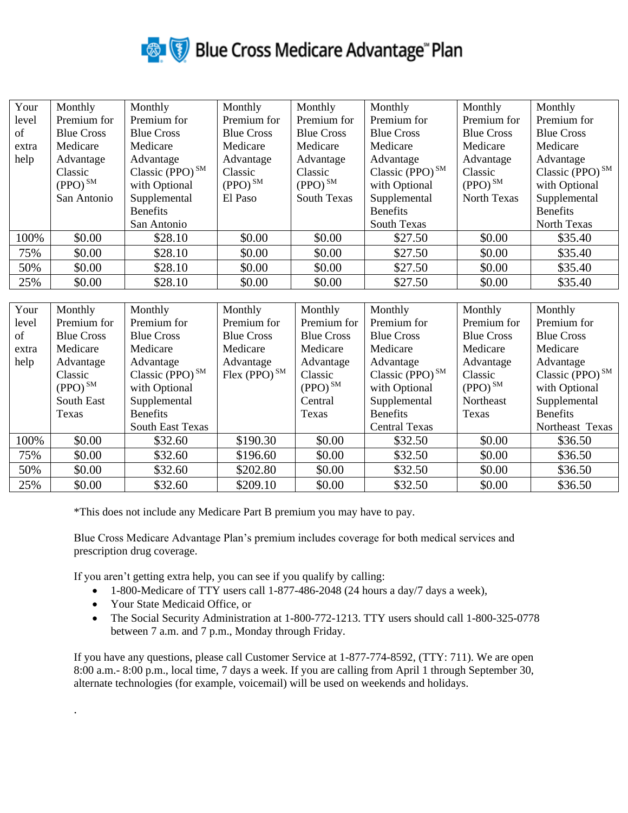

| Your  | Monthly           | Monthly               | Monthly           | Monthly               | Monthly               | Monthly           | Monthly               |
|-------|-------------------|-----------------------|-------------------|-----------------------|-----------------------|-------------------|-----------------------|
| level | Premium for       | Premium for           | Premium for       | Premium for           | Premium for           | Premium for       | Premium for           |
| of    | <b>Blue Cross</b> | <b>Blue Cross</b>     | <b>Blue Cross</b> | <b>Blue Cross</b>     | <b>Blue Cross</b>     | <b>Blue Cross</b> | <b>Blue Cross</b>     |
| extra | Medicare          | Medicare              | Medicare          | Medicare              | Medicare              | Medicare          | Medicare              |
| help  | Advantage         | Advantage             | Advantage         | Advantage             | Advantage             | Advantage         | Advantage             |
|       | Classic           | Classic (PPO) $^{SM}$ | Classic           | Classic               | Classic (PPO) $^{SM}$ | Classic           | Classic (PPO) $^{SM}$ |
|       | $(PPO)^{SM}$      | with Optional         | $(PPO)^{SM}$      | $(PPO)$ <sup>SM</sup> | with Optional         | $(PPO)^{SM}$      | with Optional         |
|       | San Antonio       | Supplemental          | El Paso           | <b>South Texas</b>    | Supplemental          | North Texas       | Supplemental          |
|       |                   | <b>Benefits</b>       |                   |                       | <b>Benefits</b>       |                   | <b>Benefits</b>       |
|       |                   | San Antonio           |                   |                       | <b>South Texas</b>    |                   | North Texas           |
| 100%  | \$0.00            | \$28.10               | \$0.00            | \$0.00                | \$27.50               | \$0.00            | \$35.40               |
| 75%   | \$0.00            | \$28.10               | \$0.00            | \$0.00                | \$27.50               | \$0.00            | \$35.40               |
| 50%   | \$0.00            | \$28.10               | \$0.00            | \$0.00                | \$27.50               | \$0.00            | \$35.40               |
| 25%   | \$0.00            | \$28.10               | \$0.00            | \$0.00                | \$27.50               | \$0.00            | \$35.40               |

| Your  | Monthly               | Monthly                 | Monthly            | Monthly           | Monthly               | Monthly           | Monthly               |
|-------|-----------------------|-------------------------|--------------------|-------------------|-----------------------|-------------------|-----------------------|
| level | Premium for           | Premium for             | Premium for        | Premium for       | Premium for           | Premium for       | Premium for           |
| of    | <b>Blue Cross</b>     | <b>Blue Cross</b>       | <b>Blue Cross</b>  | <b>Blue Cross</b> | <b>Blue Cross</b>     | <b>Blue Cross</b> | <b>Blue Cross</b>     |
| extra | Medicare              | Medicare                | Medicare           | Medicare          | Medicare              | Medicare          | Medicare              |
| help  | Advantage             | Advantage               | Advantage          | Advantage         | Advantage             | Advantage         | Advantage             |
|       | Classic               | Classic (PPO) $^{SM}$   | Flex (PPO) $^{SM}$ | Classic           | Classic (PPO) $^{SM}$ | Classic           | Classic (PPO) $^{SM}$ |
|       | $(PPO)$ <sup>SM</sup> | with Optional           |                    | $(PPO)^{SM}$      | with Optional         | $(PPO)^{SM}$      | with Optional         |
|       | South East            | Supplemental            |                    | Central           | Supplemental          | Northeast         | Supplemental          |
|       | Texas                 | <b>Benefits</b>         |                    | Texas             | <b>Benefits</b>       | Texas             | <b>Benefits</b>       |
|       |                       | <b>South East Texas</b> |                    |                   | <b>Central Texas</b>  |                   | Northeast Texas       |
| 100%  | \$0.00                | \$32.60                 | \$190.30           | \$0.00            | \$32.50               | \$0.00            | \$36.50               |
| 75%   | \$0.00                | \$32.60                 | \$196.60           | \$0.00            | \$32.50               | \$0.00            | \$36.50               |
| 50%   | \$0.00                | \$32.60                 | \$202.80           | \$0.00            | \$32.50               | \$0.00            | \$36.50               |
| 25%   | \$0.00                | \$32.60                 | \$209.10           | \$0.00            | \$32.50               | \$0.00            | \$36.50               |

\*This does not include any Medicare Part B premium you may have to pay.

Blue Cross Medicare Advantage Plan's premium includes coverage for both medical services and prescription drug coverage.

If you aren't getting extra help, you can see if you qualify by calling:

- 1-800-Medicare of TTY users call 1-877-486-2048 (24 hours a day/7 days a week),
- Your State Medicaid Office, or

.

• The Social Security Administration at 1-800-772-1213. TTY users should call 1-800-325-0778 between 7 a.m. and 7 p.m., Monday through Friday.

If you have any questions, please call Customer Service at 1-877-774-8592, (TTY: 711). We are open 8:00 a.m.- 8:00 p.m., local time, 7 days a week. If you are calling from April 1 through September 30, alternate technologies (for example, voicemail) will be used on weekends and holidays.